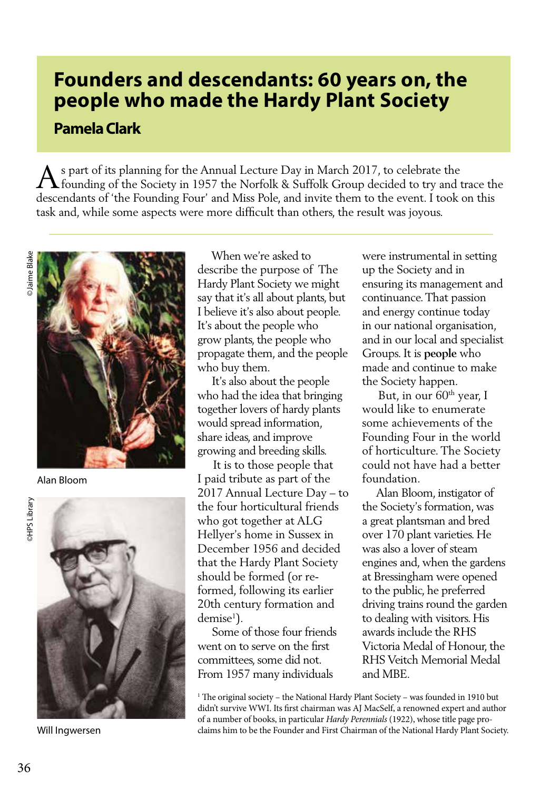## **Founders and descendants: 60 years on, the people who made the Hardy Plant Society**

## **Pamela Clark**

A s part of its planning for the Annual Lecture Day in March 2017, to celebrate the founding of the Society in 1957 the Norfolk & Suffolk Group decided to try and trace the descendants of 'the Founding Four' and Miss Pole, and invite them to the event. I took on this task and, while some aspects were more difficult than others, the result was joyous.



Alan Bloom



Will Ingwersen

 When we're asked to describe the purpose of The Hardy Plant Society we might say that it's all about plants, but I believe it's also about people. It's about the people who grow plants, the people who propagate them, and the people who buy them.

 It's also about the people who had the idea that bringing together lovers of hardy plants would spread information, share ideas, and improve growing and breeding skills.

 It is to those people that I paid tribute as part of the 2017 Annual Lecture Day – to the four horticultural friends who got together at ALG Hellyer's home in Sussex in December 1956 and decided that the Hardy Plant Society should be formed (or reformed, following its earlier 20th century formation and demise<sup>1</sup>).

 Some of those four friends went on to serve on the first committees, some did not. From 1957 many individuals

were instrumental in setting up the Society and in ensuring its management and continuance. That passion and energy continue today in our national organisation, and in our local and specialist Groups. It is **people** who made and continue to make the Society happen.

But, in our 60<sup>th</sup> year, I would like to enumerate some achievements of the Founding Four in the world of horticulture. The Society could not have had a better foundation.

 Alan Bloom, instigator of the Society's formation, was a great plantsman and bred over 170 plant varieties. He was also a lover of steam engines and, when the gardens at Bressingham were opened to the public, he preferred driving trains round the garden to dealing with visitors. His awards include the RHS Victoria Medal of Honour, the RHS Veitch Memorial Medal and MBE.

<sup>1</sup> The original society – the National Hardy Plant Society – was founded in 1910 but didn't survive WWI. Its first chairman was AJ MacSelf, a renowned expert and author of a number of books, in particular *Hardy Perennials* (1922), whose title page proclaims him to be the Founder and First Chairman of the National Hardy Plant Society.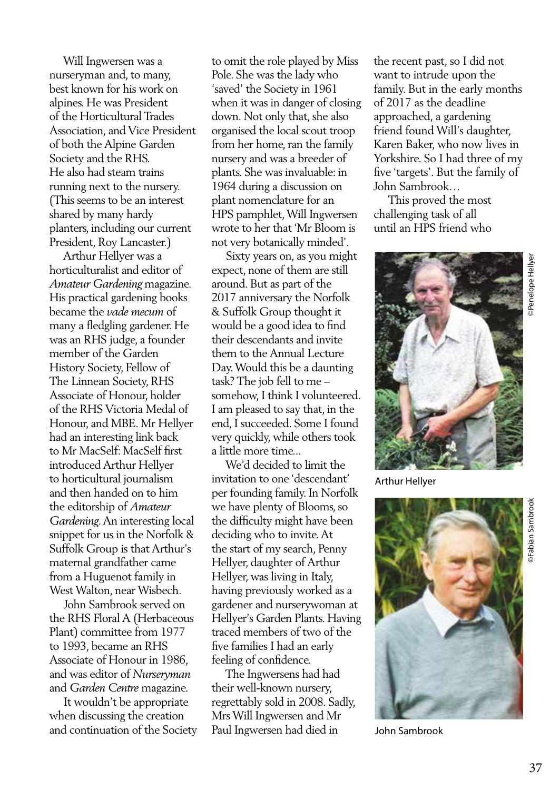Will Ingwersen was a nurseryman and, to many, best known for his work on alpines. He was President of the Horticultural Trades Association, and Vice President of both the Alpine Garden Society and the RHS. He also had steam trains running next to the nursery. (This seems to be an interest shared by many hardy planters, including our current President, Roy Lancaster.)

 Arthur Hellyer was a horticulturalist and editor of *Amateur Gardening* magazine. His practical gardening books became the *vade mecum* of many a fledgling gardener. He was an RHS judge, a founder member of the Garden History Society, Fellow of The Linnean Society, RHS Associate of Honour, holder of the RHS Victoria Medal of Honour, and MBE. Mr Hellyer had an interesting link back to Mr MacSelf: MacSelf first introduced Arthur Hellyer to horticultural journalism and then handed on to him the editorship of *Amateur Gardening*. An interesting local snippet for us in the Norfolk & Suffolk Group is that Arthur's maternal grandfather came from a Huguenot family in West Walton, near Wisbech.

 John Sambrook served on the RHS Floral A (Herbaceous Plant) committee from 1977 to 1993, became an RHS Associate of Honour in 1986, and was editor of *Nurseryman* and *Garden Centre* magazine.

 It wouldn't be appropriate when discussing the creation and continuation of the Society

to omit the role played by Miss Pole. She was the lady who 'saved' the Society in 1961 when it was in danger of closing down. Not only that, she also organised the local scout troop from her home, ran the family nursery and was a breeder of plants. She was invaluable: in 1964 during a discussion on plant nomenclature for an HPS pamphlet, Will Ingwersen wrote to her that 'Mr Bloom is not very botanically minded'.

 Sixty years on, as you might expect, none of them are still around. But as part of the 2017 anniversary the Norfolk & Suffolk Group thought it would be a good idea to find their descendants and invite them to the Annual Lecture Day. Would this be a daunting task? The job fell to me – somehow, I think I volunteered. I am pleased to say that, in the end, I succeeded. Some I found very quickly, while others took a little more time...

 We'd decided to limit the invitation to one 'descendant' per founding family. In Norfolk we have plenty of Blooms, so the difficulty might have been deciding who to invite. At the start of my search, Penny Hellyer, daughter of Arthur Hellyer, was living in Italy, having previously worked as a gardener and nurserywoman at Hellyer's Garden Plants. Having traced members of two of the five families I had an early feeling of confidence.

 The Ingwersens had had their well-known nursery, regrettably sold in 2008. Sadly, Mrs Will Ingwersen and Mr Paul Ingwersen had died in

the recent past, so I did not want to intrude upon the family. But in the early months of 2017 as the deadline approached, a gardening friend found Will's daughter, Karen Baker, who now lives in Yorkshire. So I had three of my five 'targets'. But the family of John Sambrook…

 This proved the most challenging task of all until an HPS friend who



Arthur Hellyer



John Sambrook